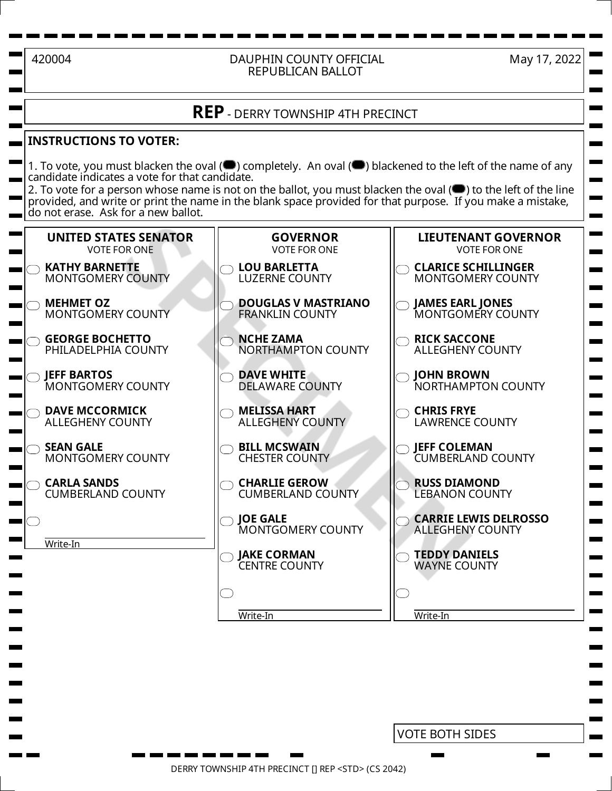## 420004 DAUPHIN COUNTY OFFICIAL REPUBLICAN BALLOT

May 17, 2022

## **REP** - DERRY TOWNSHIP 4TH PRECINCT

## **INSTRUCTIONS TO VOTER:**

1. To vote, you must blacken the oval ( $\blacksquare$ ) completely. An oval ( $\blacksquare$ ) blackened to the left of the name of any candidate indicates a vote for that candidate.

2. To vote for a person whose name is not on the ballot, you must blacken the oval  $($ **)** to the left of the line provided, and write or print the name in the blank space provided for that purpose. If you make a mistake, do not erase. Ask for a new ballot.



VOTE BOTH SIDES